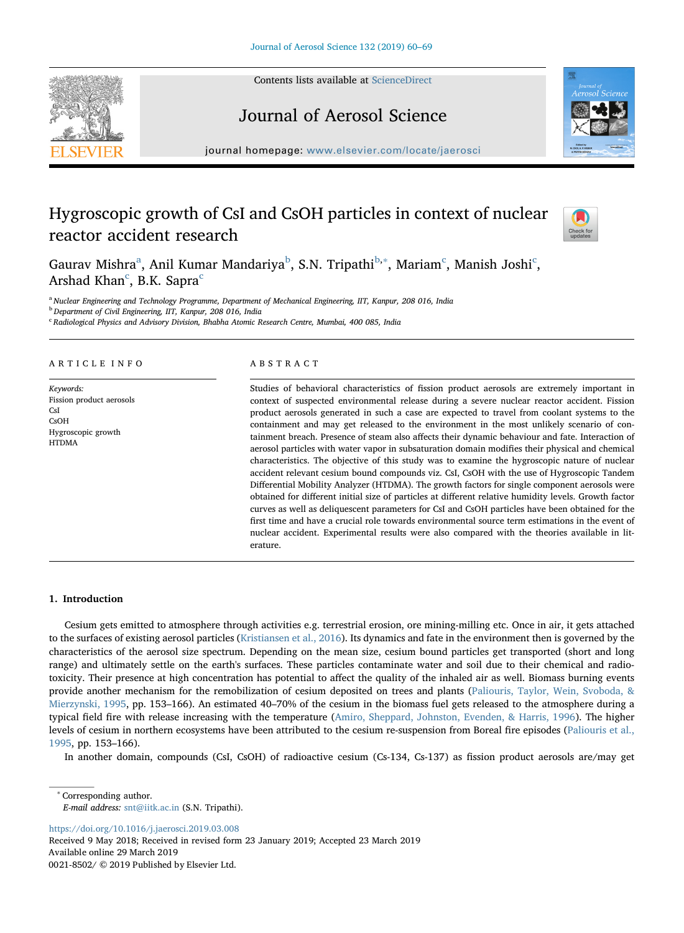Contents lists available at [ScienceDirect](http://www.sciencedirect.com/science/journal/00218502)

# Journal of Aerosol Science

journal homepage: [www.elsevier.com/locate/jaerosci](https://www.elsevier.com/locate/jaerosci)

## Hygroscopic growth of CsI and CsOH particles in context of nuclear reactor accident research

G[a](#page-0-0)urav Mishra<sup>a</sup>, Anil Kumar Mandariya<sup>[b](#page-0-1)</sup>, S.N. Tripathi<sup>[b,](#page-0-1)\*</sup>, Mariam<sup>[c](#page-0-3)</sup>, Manish Joshi<sup>c</sup>, Arshad Khan<sup>[c](#page-0-3)</sup>, B.K. Sapra<sup>c</sup>

<span id="page-0-0"></span><sup>a</sup> Nuclear Engineering and Technology Programme, Department of Mechanical Engineering, IIT, Kanpur, 208 016, India

<span id="page-0-1"></span><sup>b</sup> Department of Civil Engineering, IIT, Kanpur, 208 016, India

<span id="page-0-3"></span><sup>c</sup> Radiological Physics and Advisory Division, Bhabha Atomic Research Centre, Mumbai, 400 085, India

#### ARTICLE INFO

Keywords: Fission product aerosols **CsI** CsOH Hygroscopic growth HTDMA

#### ABSTRACT

Studies of behavioral characteristics of fission product aerosols are extremely important in context of suspected environmental release during a severe nuclear reactor accident. Fission product aerosols generated in such a case are expected to travel from coolant systems to the containment and may get released to the environment in the most unlikely scenario of containment breach. Presence of steam also affects their dynamic behaviour and fate. Interaction of aerosol particles with water vapor in subsaturation domain modifies their physical and chemical characteristics. The objective of this study was to examine the hygroscopic nature of nuclear accident relevant cesium bound compounds viz. CsI, CsOH with the use of Hygroscopic Tandem Differential Mobility Analyzer (HTDMA). The growth factors for single component aerosols were obtained for different initial size of particles at different relative humidity levels. Growth factor curves as well as deliquescent parameters for CsI and CsOH particles have been obtained for the first time and have a crucial role towards environmental source term estimations in the event of nuclear accident. Experimental results were also compared with the theories available in literature.

#### 1. Introduction

Cesium gets emitted to atmosphere through activities e.g. terrestrial erosion, ore mining-milling etc. Once in air, it gets attached to the surfaces of existing aerosol particles ([Kristiansen et al., 2016\)](#page-8-0). Its dynamics and fate in the environment then is governed by the characteristics of the aerosol size spectrum. Depending on the mean size, cesium bound particles get transported (short and long range) and ultimately settle on the earth's surfaces. These particles contaminate water and soil due to their chemical and radiotoxicity. Their presence at high concentration has potential to affect the quality of the inhaled air as well. Biomass burning events provide another mechanism for the remobilization of cesium deposited on trees and plants ([Paliouris, Taylor, Wein, Svoboda, &](#page-8-1) [Mierzynski, 1995,](#page-8-1) pp. 153–166). An estimated 40–70% of the cesium in the biomass fuel gets released to the atmosphere during a typical field fire with release increasing with the temperature ([Amiro, Sheppard, Johnston, Evenden, & Harris, 1996](#page-7-0)). The higher levels of cesium in northern ecosystems have been attributed to the cesium re-suspension from Boreal fire episodes ([Paliouris et al.,](#page-8-1) [1995,](#page-8-1) pp. 153–166).

In another domain, compounds (CsI, CsOH) of radioactive cesium (Cs-134, Cs-137) as fission product aerosols are/may get

<https://doi.org/10.1016/j.jaerosci.2019.03.008>

Received 9 May 2018; Received in revised form 23 January 2019; Accepted 23 March 2019 Available online 29 March 2019 0021-8502/ © 2019 Published by Elsevier Ltd.





Check f

<span id="page-0-2"></span>Corresponding author. E-mail address: [snt@iitk.ac.in](mailto:snt@iitk.ac.in) (S.N. Tripathi).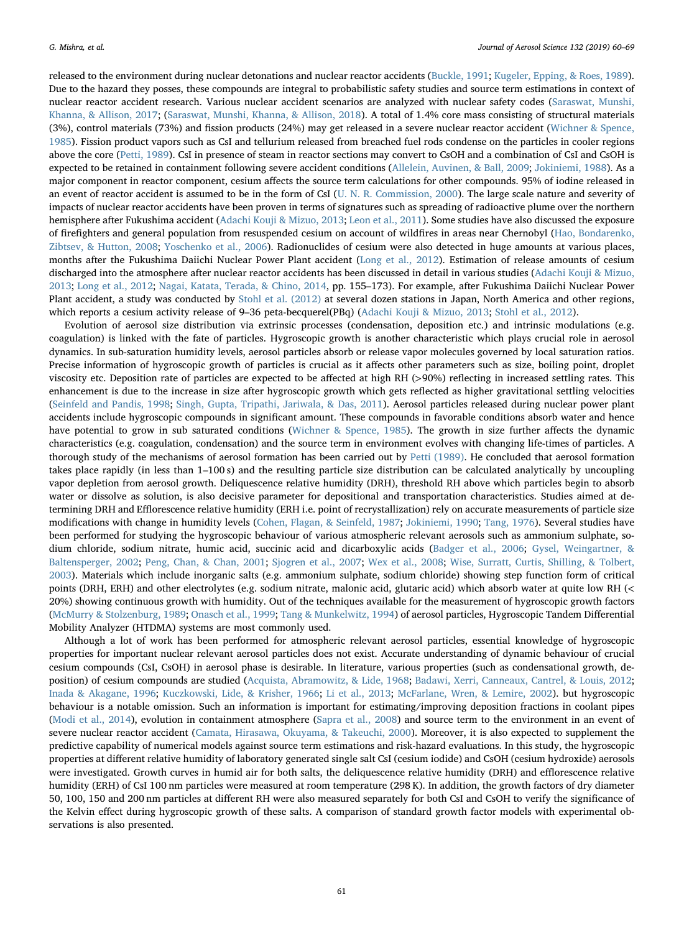released to the environment during nuclear detonations and nuclear reactor accidents ([Buckle, 1991](#page-7-1); [Kugeler, Epping, & Roes, 1989](#page-8-2)). Due to the hazard they posses, these compounds are integral to probabilistic safety studies and source term estimations in context of nuclear reactor accident research. Various nuclear accident scenarios are analyzed with nuclear safety codes ([Saraswat, Munshi,](#page-9-0) [Khanna, & Allison, 2017;](#page-9-0) ([Saraswat, Munshi, Khanna, & Allison, 2018\)](#page-9-1). A total of 1.4% core mass consisting of structural materials (3%), control materials (73%) and fission products (24%) may get released in a severe nuclear reactor accident [\(Wichner & Spence,](#page-9-2) [1985\)](#page-9-2). Fission product vapors such as CsI and tellurium released from breached fuel rods condense on the particles in cooler regions above the core ([Petti, 1989](#page-8-3)). CsI in presence of steam in reactor sections may convert to CsOH and a combination of CsI and CsOH is expected to be retained in containment following severe accident conditions [\(Allelein, Auvinen, & Ball, 2009](#page-7-2); [Jokiniemi, 1988](#page-8-4)). As a major component in reactor component, cesium affects the source term calculations for other compounds. 95% of iodine released in an event of reactor accident is assumed to be in the form of CsI ([U. N. R. Commission, 2000\)](#page-9-3). The large scale nature and severity of impacts of nuclear reactor accidents have been proven in terms of signatures such as spreading of radioactive plume over the northern hemisphere after Fukushima accident [\(Adachi Kouji & Mizuo, 2013;](#page-7-3) [Leon et al., 2011](#page-8-5)). Some studies have also discussed the exposure of firefighters and general population from resuspended cesium on account of wildfires in areas near Chernobyl ([Hao, Bondarenko,](#page-8-6) [Zibtsev, & Hutton, 2008;](#page-8-6) [Yoschenko et al., 2006\)](#page-9-4). Radionuclides of cesium were also detected in huge amounts at various places, months after the Fukushima Daiichi Nuclear Power Plant accident ([Long et al., 2012](#page-8-7)). Estimation of release amounts of cesium discharged into the atmosphere after nuclear reactor accidents has been discussed in detail in various studies ([Adachi Kouji & Mizuo,](#page-7-3) [2013;](#page-7-3) [Long et al., 2012;](#page-8-7) [Nagai, Katata, Terada, & Chino, 2014,](#page-8-8) pp. 155–173). For example, after Fukushima Daiichi Nuclear Power Plant accident, a study was conducted by [Stohl et al. \(2012\)](#page-9-5) at several dozen stations in Japan, North America and other regions, which reports a cesium activity release of 9-36 peta-becquerel(PBq) ([Adachi Kouji & Mizuo, 2013](#page-7-3); [Stohl et al., 2012\)](#page-9-5).

Evolution of aerosol size distribution via extrinsic processes (condensation, deposition etc.) and intrinsic modulations (e.g. coagulation) is linked with the fate of particles. Hygroscopic growth is another characteristic which plays crucial role in aerosol dynamics. In sub-saturation humidity levels, aerosol particles absorb or release vapor molecules governed by local saturation ratios. Precise information of hygroscopic growth of particles is crucial as it affects other parameters such as size, boiling point, droplet viscosity etc. Deposition rate of particles are expected to be affected at high RH (>90%) reflecting in increased settling rates. This enhancement is due to the increase in size after hygroscopic growth which gets reflected as higher gravitational settling velocities ([Seinfeld and Pandis, 1998](#page-9-6); [Singh, Gupta, Tripathi, Jariwala, & Das, 2011\)](#page-9-7). Aerosol particles released during nuclear power plant accidents include hygroscopic compounds in significant amount. These compounds in favorable conditions absorb water and hence have potential to grow in sub saturated conditions ([Wichner & Spence, 1985\)](#page-9-2). The growth in size further affects the dynamic characteristics (e.g. coagulation, condensation) and the source term in environment evolves with changing life-times of particles. A thorough study of the mechanisms of aerosol formation has been carried out by [Petti \(1989\).](#page-8-3) He concluded that aerosol formation takes place rapidly (in less than 1–100 s) and the resulting particle size distribution can be calculated analytically by uncoupling vapor depletion from aerosol growth. Deliquescence relative humidity (DRH), threshold RH above which particles begin to absorb water or dissolve as solution, is also decisive parameter for depositional and transportation characteristics. Studies aimed at determining DRH and Efflorescence relative humidity (ERH i.e. point of recrystallization) rely on accurate measurements of particle size modifications with change in humidity levels ([Cohen, Flagan, & Seinfeld, 1987;](#page-7-4) [Jokiniemi, 1990;](#page-8-9) [Tang, 1976\)](#page-9-8). Several studies have been performed for studying the hygroscopic behaviour of various atmospheric relevant aerosols such as ammonium sulphate, sodium chloride, sodium nitrate, humic acid, succinic acid and dicarboxylic acids ([Badger et al., 2006](#page-7-5); [Gysel, Weingartner, &](#page-7-6) [Baltensperger, 2002](#page-7-6); [Peng, Chan, & Chan, 2001;](#page-8-10) [Sjogren et al., 2007;](#page-9-9) [Wex et al., 2008](#page-9-10); [Wise, Surratt, Curtis, Shilling, & Tolbert,](#page-9-11) [2003\)](#page-9-11). Materials which include inorganic salts (e.g. ammonium sulphate, sodium chloride) showing step function form of critical points (DRH, ERH) and other electrolytes (e.g. sodium nitrate, malonic acid, glutaric acid) which absorb water at quite low RH (< 20%) showing continuous growth with humidity. Out of the techniques available for the measurement of hygroscopic growth factors ([McMurry & Stolzenburg, 1989](#page-8-11); [Onasch et al., 1999](#page-8-12); [Tang & Munkelwitz, 1994](#page-9-12)) of aerosol particles, Hygroscopic Tandem Differential Mobility Analyzer (HTDMA) systems are most commonly used.

Although a lot of work has been performed for atmospheric relevant aerosol particles, essential knowledge of hygroscopic properties for important nuclear relevant aerosol particles does not exist. Accurate understanding of dynamic behaviour of crucial cesium compounds (CsI, CsOH) in aerosol phase is desirable. In literature, various properties (such as condensational growth, deposition) of cesium compounds are studied ([Acquista, Abramowitz, & Lide, 1968;](#page-7-7) [Badawi, Xerri, Canneaux, Cantrel, & Louis, 2012;](#page-7-8) [Inada & Akagane, 1996](#page-8-13); [Kuczkowski, Lide, & Krisher, 1966](#page-8-14); [Li et al., 2013](#page-8-15); [McFarlane, Wren, & Lemire, 2002\)](#page-8-16). but hygroscopic behaviour is a notable omission. Such an information is important for estimating/improving deposition fractions in coolant pipes ([Modi et al., 2014](#page-8-17)), evolution in containment atmosphere [\(Sapra et al., 2008](#page-8-18)) and source term to the environment in an event of severe nuclear reactor accident ([Camata, Hirasawa, Okuyama, & Takeuchi, 2000](#page-7-9)). Moreover, it is also expected to supplement the predictive capability of numerical models against source term estimations and risk-hazard evaluations. In this study, the hygroscopic properties at different relative humidity of laboratory generated single salt CsI (cesium iodide) and CsOH (cesium hydroxide) aerosols were investigated. Growth curves in humid air for both salts, the deliquescence relative humidity (DRH) and efflorescence relative humidity (ERH) of CsI 100 nm particles were measured at room temperature (298 K). In addition, the growth factors of dry diameter 50, 100, 150 and 200 nm particles at different RH were also measured separately for both CsI and CsOH to verify the significance of the Kelvin effect during hygroscopic growth of these salts. A comparison of standard growth factor models with experimental observations is also presented.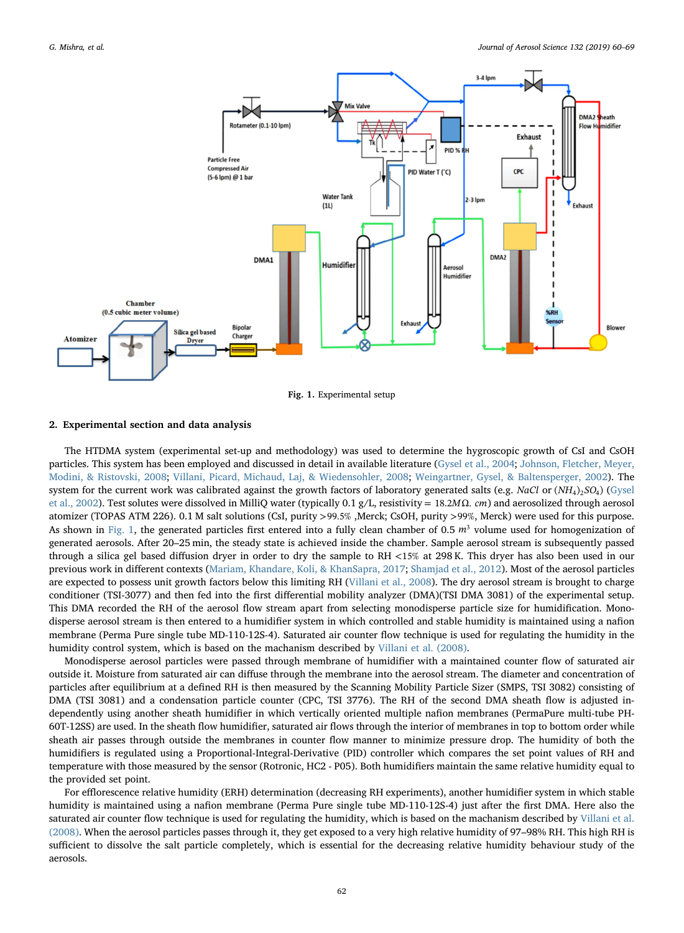<span id="page-2-0"></span>

Fig. 1. Experimental setup

### 2. Experimental section and data analysis

The HTDMA system (experimental set-up and methodology) was used to determine the hygroscopic growth of CsI and CsOH particles. This system has been employed and discussed in detail in available literature ([Gysel et al., 2004;](#page-8-19) [Johnson, Fletcher, Meyer,](#page-8-20) [Modini, & Ristovski, 2008;](#page-8-20) [Villani, Picard, Michaud, Laj, & Wiedensohler, 2008](#page-9-3); [Weingartner, Gysel, & Baltensperger, 2002\)](#page-9-13). The system for the current work was calibrated against the growth factors of laboratory generated salts (e.g. *NaCl* or (*NH*<sub>4</sub>)<sub>2</sub>SO<sub>4</sub>) [\(Gysel](#page-7-6) [et al., 2002](#page-7-6)). Test solutes were dissolved in MilliQ water (typically 0.1 g/L, resistivity = 18.2MΩ. *cm*) and aerosolized through aerosol atomizer (TOPAS ATM 226). 0.1 M salt solutions (CsI, purity >99.5% ,Merck; CsOH, purity >99%, Merck) were used for this purpose. As shown in [Fig. 1,](#page-2-0) the generated particles first entered into a fully clean chamber of 0.5  $m<sup>3</sup>$  volume used for homogenization of generated aerosols. After 20–25 min, the steady state is achieved inside the chamber. Sample aerosol stream is subsequently passed through a silica gel based diffusion dryer in order to dry the sample to RH <15% at 298 K. This dryer has also been used in our previous work in different contexts ([Mariam, Khandare, Koli, & KhanSapra, 2017;](#page-8-21) [Shamjad et al., 2012](#page-9-14)). Most of the aerosol particles are expected to possess unit growth factors below this limiting RH ([Villani et al., 2008\)](#page-9-15). The dry aerosol stream is brought to charge conditioner (TSI-3077) and then fed into the first differential mobility analyzer (DMA)(TSI DMA 3081) of the experimental setup. This DMA recorded the RH of the aerosol flow stream apart from selecting monodisperse particle size for humidification. Monodisperse aerosol stream is then entered to a humidifier system in which controlled and stable humidity is maintained using a nafion membrane (Perma Pure single tube MD-110-12S-4). Saturated air counter flow technique is used for regulating the humidity in the humidity control system, which is based on the machanism described by [Villani et al. \(2008\).](#page-9-15)

Monodisperse aerosol particles were passed through membrane of humidifier with a maintained counter flow of saturated air outside it. Moisture from saturated air can diffuse through the membrane into the aerosol stream. The diameter and concentration of particles after equilibrium at a defined RH is then measured by the Scanning Mobility Particle Sizer (SMPS, TSI 3082) consisting of DMA (TSI 3081) and a condensation particle counter (CPC, TSI 3776). The RH of the second DMA sheath flow is adjusted independently using another sheath humidifier in which vertically oriented multiple nafion membranes (PermaPure multi-tube PH-60T-12SS) are used. In the sheath flow humidifier, saturated air flows through the interior of membranes in top to bottom order while sheath air passes through outside the membranes in counter flow manner to minimize pressure drop. The humidity of both the humidifiers is regulated using a Proportional-Integral-Derivative (PID) controller which compares the set point values of RH and temperature with those measured by the sensor (Rotronic, HC2 - P05). Both humidifiers maintain the same relative humidity equal to the provided set point.

For efflorescence relative humidity (ERH) determination (decreasing RH experiments), another humidifier system in which stable humidity is maintained using a nafion membrane (Perma Pure single tube MD-110-12S-4) just after the first DMA. Here also the saturated air counter flow technique is used for regulating the humidity, which is based on the machanism described by [Villani et al.](#page-9-15) [\(2008\).](#page-9-15) When the aerosol particles passes through it, they get exposed to a very high relative humidity of 97–98% RH. This high RH is sufficient to dissolve the salt particle completely, which is essential for the decreasing relative humidity behaviour study of the aerosols.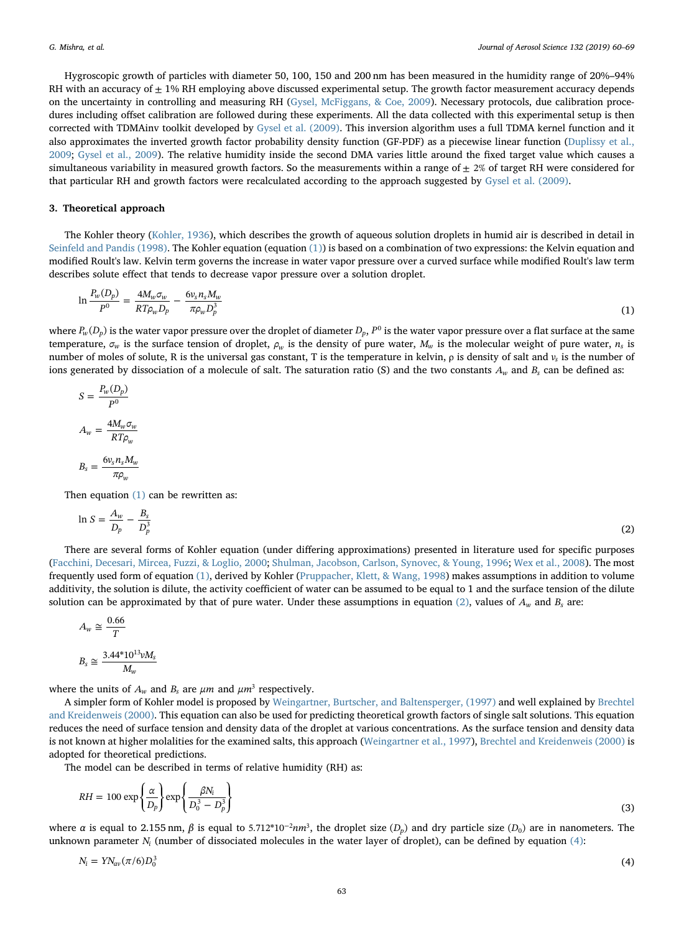Hygroscopic growth of particles with diameter 50, 100, 150 and 200 nm has been measured in the humidity range of 20%–94% RH with an accuracy of  $\pm$  1% RH employing above discussed experimental setup. The growth factor measurement accuracy depends on the uncertainty in controlling and measuring RH [\(Gysel, McFiggans, & Coe, 2009\)](#page-7-10). Necessary protocols, due calibration procedures including offset calibration are followed during these experiments. All the data collected with this experimental setup is then corrected with TDMAinv toolkit developed by [Gysel et al. \(2009\)](#page-7-10). This inversion algorithm uses a full TDMA kernel function and it also approximates the inverted growth factor probability density function (GF-PDF) as a piecewise linear function [\(Duplissy et al.,](#page-7-11) [2009;](#page-7-11) [Gysel et al., 2009](#page-7-10)). The relative humidity inside the second DMA varies little around the fixed target value which causes a simultaneous variability in measured growth factors. So the measurements within a range of  $\pm 2\%$  of target RH were considered for that particular RH and growth factors were recalculated according to the approach suggested by [Gysel et al. \(2009\).](#page-7-10)

## 3. Theoretical approach

<span id="page-3-0"></span>The Kohler theory [\(Kohler, 1936\)](#page-8-22), which describes the growth of aqueous solution droplets in humid air is described in detail in [Seinfeld and Pandis \(1998\)](#page-9-6). The Kohler equation (equation [\(1\)\)](#page-3-0) is based on a combination of two expressions: the Kelvin equation and modified Roult's law. Kelvin term governs the increase in water vapor pressure over a curved surface while modified Roult's law term describes solute effect that tends to decrease vapor pressure over a solution droplet.

$$
\ln \frac{P_w(D_p)}{P^0} = \frac{4M_w \sigma_w}{RT \rho_w D_p} - \frac{6v_s n_s M_w}{\pi \rho_w D_p^3} \tag{1}
$$

where  $P_w(D_p)$  is the water vapor pressure over the droplet of diameter  $D_p$ ,  $P^0$  is the water vapor pressure over a flat surface at the same temperature,  $\sigma_w$  is the surface tension of droplet,  $\rho_w$  is the density of pure water,  $M_w$  is the molecular weight of pure water,  $n_s$  is number of moles of solute, R is the universal gas constant, T is the temperature in kelvin, ρ is density of salt and *v<sub>s</sub>* is the number of ions generated by dissociation of a molecule of salt. The saturation ratio (S) and the two constants *Aw* and *Bs* can be defined as:

$$
S = \frac{P_w(D_p)}{P^0}
$$

$$
A_w = \frac{4M_w \sigma_w}{RT\rho_w}
$$

$$
B_s = \frac{6v_s n_s M_w}{\pi\rho_w}
$$

<span id="page-3-1"></span>Then equation  $(1)$  can be rewritten as:

$$
\ln S = \frac{A_w}{D_p} - \frac{B_s}{D_p^3} \tag{2}
$$

There are several forms of Kohler equation (under differing approximations) presented in literature used for specific purposes ([Facchini, Decesari, Mircea, Fuzzi, & Loglio, 2000;](#page-7-12) [Shulman, Jacobson, Carlson, Synovec, & Young, 1996;](#page-9-16) [Wex et al., 2008\)](#page-9-10). The most frequently used form of equation [\(1\),](#page-3-0) derived by Kohler ([Pruppacher, Klett, & Wang, 1998\)](#page-8-23) makes assumptions in addition to volume additivity, the solution is dilute, the activity coefficient of water can be assumed to be equal to 1 and the surface tension of the dilute solution can be approximated by that of pure water. Under these assumptions in equation  $(2)$ , values of  $A_w$  and  $B_s$  are:

$$
A_w \cong \frac{0.66}{T}
$$
  

$$
B_s \cong \frac{3.44 \times 10^{13} \nu M_s}{M_w}
$$

where the units of  $A_w$  and  $B_s$  are  $\mu m$  and  $\mu m^3$  respectively.

A simpler form of Kohler model is proposed by [Weingartner, Burtscher, and Baltensperger, \(1997\)](#page-9-17) and well explained by [Brechtel](#page-7-13) [and Kreidenweis \(2000\).](#page-7-13) This equation can also be used for predicting theoretical growth factors of single salt solutions. This equation reduces the need of surface tension and density data of the droplet at various concentrations. As the surface tension and density data is not known at higher molalities for the examined salts, this approach ([Weingartner et al., 1997](#page-9-17)), [Brechtel and Kreidenweis \(2000\)](#page-7-13) is adopted for theoretical predictions.

<span id="page-3-3"></span>The model can be described in terms of relative humidity (RH) as:

$$
RH = 100 \exp\left\{\frac{\alpha}{D_p}\right\} \exp\left\{\frac{\beta N_i}{D_0^3 - D_p^3}\right\} \tag{3}
$$

<span id="page-3-2"></span>where  $\alpha$  is equal to 2.155 nm,  $\beta$  is equal to 5.712\*10<sup>-2</sup>*nm*<sup>3</sup>, the droplet size (*D<sub>p</sub>*) and dry particle size (*D<sub>0</sub>*) are in nanometers. The unknown parameter  $N_i$  (number of dissociated molecules in the water layer of droplet), can be defined by equation  $(4)$ :

$$
N_i = Y N_{av} (\pi/6) D_0^3 \tag{4}
$$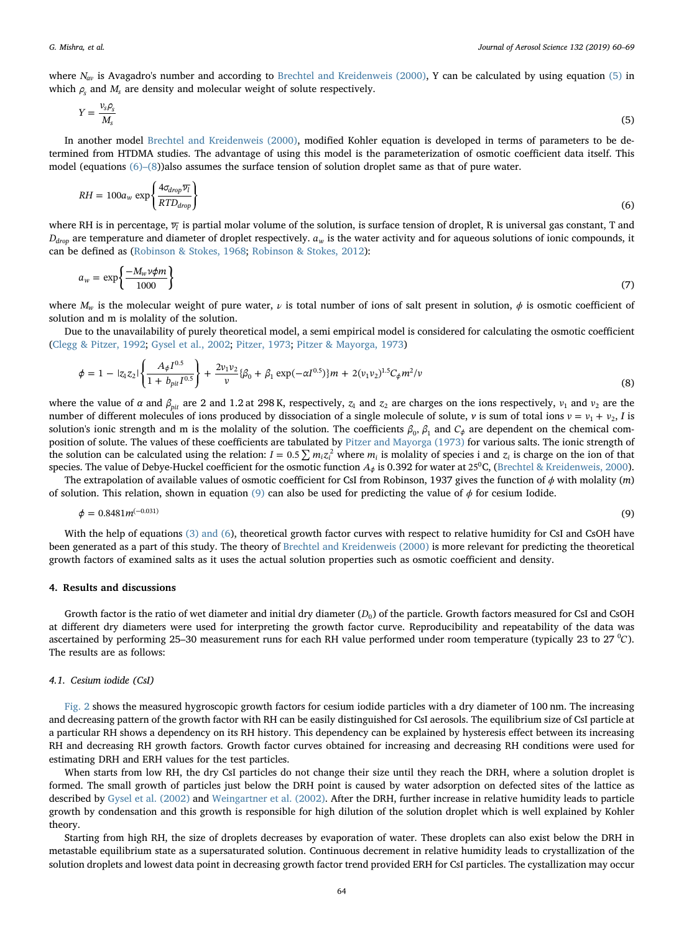<span id="page-4-0"></span>where *N<sub>av</sub>* is Avagadro's number and according to [Brechtel and Kreidenweis \(2000\)](#page-7-13), Y can be calculated by using equation [\(5\)](#page-4-0) in which  $\rho_s$  and  $M_s$  are density and molecular weight of solute respectively.

$$
Y = \frac{v_s \rho_s}{M_s} \tag{5}
$$

<span id="page-4-1"></span>In another model [Brechtel and Kreidenweis \(2000\),](#page-7-13) modified Kohler equation is developed in terms of parameters to be determined from HTDMA studies. The advantage of using this model is the parameterization of osmotic coefficient data itself. This model (equations [\(6\)](#page-4-1)–(8))also assumes the surface tension of solution droplet same as that of pure water.

$$
RH = 100a_w \exp\left\{\frac{4\sigma_{drop} \overline{v_l}}{RTD_{drop}}\right\} \tag{6}
$$

where RH is in percentage,  $\overline{v_l}$  is partial molar volume of the solution, is surface tension of droplet, R is universal gas constant, T and  $D_{drop}$  are temperature and diameter of droplet respectively.  $a_w$  is the water activity and for aqueous solutions of ionic compounds, it can be defined as ([Robinson & Stokes, 1968;](#page-8-24) [Robinson & Stokes, 2012\)](#page-8-25):

$$
a_w = \exp\left\{\frac{-M_w v \phi m}{1000}\right\} \tag{7}
$$

where  $M_w$  is the molecular weight of pure water,  $\nu$  is total number of ions of salt present in solution,  $\phi$  is osmotic coefficient of solution and m is molality of the solution.

Due to the unavailability of purely theoretical model, a semi empirical model is considered for calculating the osmotic coefficient ([Clegg & Pitzer, 1992;](#page-7-14) [Gysel et al., 2002](#page-7-6); [Pitzer, 1973](#page-8-26); [Pitzer & Mayorga, 1973](#page-8-27))

$$
\phi = 1 - |z_1 z_2| \left\{ \frac{A_{\phi} I^{0.5}}{1 + b_{\text{pit}} I^{0.5}} \right\} + \frac{2v_1 v_2}{v} \{ \beta_0 + \beta_1 \exp(-\alpha I^{0.5}) \} m + 2(v_1 v_2)^{1.5} C_{\phi} m^2 / v \tag{8}
$$

where the value of  $\alpha$  and  $\beta_{\text{nit}}$  are 2 and 1.2 at 298 K, respectively,  $z_1$  and  $z_2$  are charges on the ions respectively,  $v_1$  and  $v_2$  are the number of different molecules of ions produced by dissociation of a single molecule of solute, *v* is sum of total ions  $v = v_1 + v_2$ , *I* is solution's ionic strength and m is the molality of the solution. The coefficients  $\beta_0$ ,  $\beta_1$  and  $C_\phi$  are dependent on the chemical composition of solute. The values of these coefficients are tabulated by [Pitzer and Mayorga \(1973\)](#page-8-27) for various salts. The ionic strength of the solution can be calculated using the relation:  $I = 0.5 \sum m_i z_i^2$  where  $m_i$  is molality of species i and  $z_i$  is charge on the ion of that species. The value of Debye-Huckel coefficient for the osmotic function *A*<sub>*φ*</sub> is 0.392 for water at 25<sup>0</sup>C, [\(Brechtel & Kreidenweis, 2000](#page-7-13)).

<span id="page-4-2"></span>The extrapolation of available values of osmotic coefficient for CsI from Robinson, 1937 gives the function of  $\phi$  with molality (m) of solution. This relation, shown in equation [\(9\)](#page-4-2) can also be used for predicting the value of  $\phi$  for cesium Iodide.

$$
\phi = 0.8481m^{(-0.031)}\tag{9}
$$

With the help of equations [\(3\) and \(6\)](#page-3-3), theoretical growth factor curves with respect to relative humidity for CsI and CsOH have been generated as a part of this study. The theory of [Brechtel and Kreidenweis \(2000\)](#page-7-13) is more relevant for predicting the theoretical growth factors of examined salts as it uses the actual solution properties such as osmotic coefficient and density.

## 4. Results and discussions

Growth factor is the ratio of wet diameter and initial dry diameter (*D*<sub>0</sub>) of the particle. Growth factors measured for CsI and CsOH at different dry diameters were used for interpreting the growth factor curve. Reproducibility and repeatability of the data was ascertained by performing 25-30 measurement runs for each RH value performed under room temperature (typically 23 to 27 °C). The results are as follows:

#### 4.1. Cesium iodide (CsI)

[Fig. 2](#page-5-0) shows the measured hygroscopic growth factors for cesium iodide particles with a dry diameter of 100 nm. The increasing and decreasing pattern of the growth factor with RH can be easily distinguished for CsI aerosols. The equilibrium size of CsI particle at a particular RH shows a dependency on its RH history. This dependency can be explained by hysteresis effect between its increasing RH and decreasing RH growth factors. Growth factor curves obtained for increasing and decreasing RH conditions were used for estimating DRH and ERH values for the test particles.

When starts from low RH, the dry CsI particles do not change their size until they reach the DRH, where a solution droplet is formed. The small growth of particles just below the DRH point is caused by water adsorption on defected sites of the lattice as described by [Gysel et al. \(2002\)](#page-7-6) and [Weingartner et al. \(2002\).](#page-9-13) After the DRH, further increase in relative humidity leads to particle growth by condensation and this growth is responsible for high dilution of the solution droplet which is well explained by Kohler theory.

Starting from high RH, the size of droplets decreases by evaporation of water. These droplets can also exist below the DRH in metastable equilibrium state as a supersaturated solution. Continuous decrement in relative humidity leads to crystallization of the solution droplets and lowest data point in decreasing growth factor trend provided ERH for CsI particles. The cystallization may occur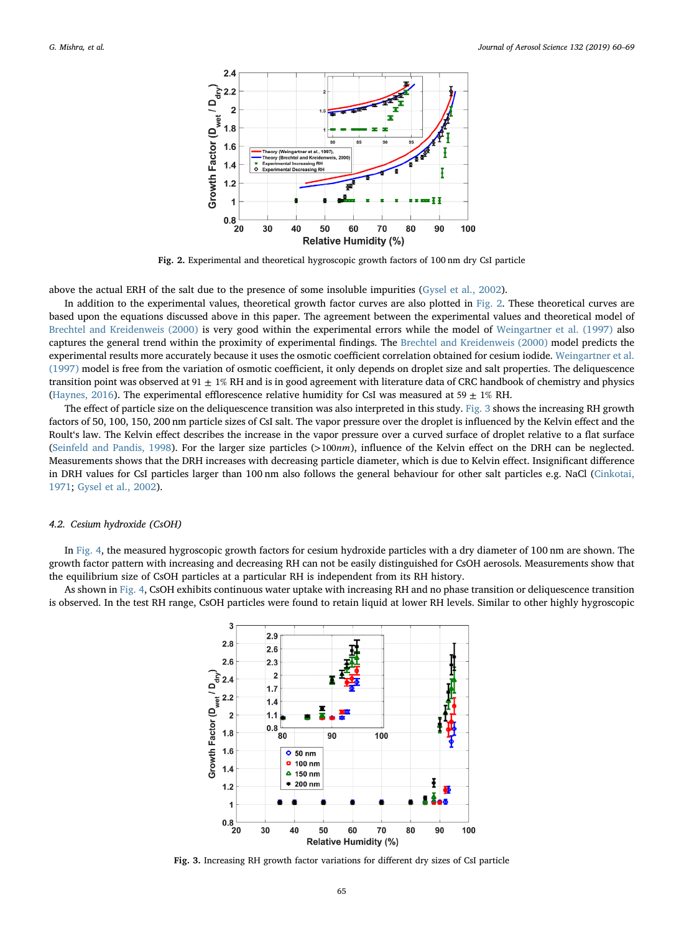<span id="page-5-0"></span>

Fig. 2. Experimental and theoretical hygroscopic growth factors of 100 nm dry CsI particle

above the actual ERH of the salt due to the presence of some insoluble impurities ([Gysel et al., 2002](#page-7-6)).

In addition to the experimental values, theoretical growth factor curves are also plotted in [Fig. 2.](#page-5-0) These theoretical curves are based upon the equations discussed above in this paper. The agreement between the experimental values and theoretical model of [Brechtel and Kreidenweis \(2000\)](#page-7-13) is very good within the experimental errors while the model of [Weingartner et al. \(1997\)](#page-9-17) also captures the general trend within the proximity of experimental findings. The [Brechtel and Kreidenweis \(2000\)](#page-7-13) model predicts the experimental results more accurately because it uses the osmotic coefficient correlation obtained for cesium iodide. [Weingartner et al.](#page-9-17) [\(1997\)](#page-9-17) model is free from the variation of osmotic coefficient, it only depends on droplet size and salt properties. The deliquescence transition point was observed at  $91 \pm 1\%$  RH and is in good agreement with literature data of CRC handbook of chemistry and physics ([Haynes, 2016\)](#page-8-28). The experimental efflorescence relative humidity for CsI was measured at 59  $\pm$  1% RH.

The effect of particle size on the deliquescence transition was also interpreted in this study. [Fig. 3](#page-5-1) shows the increasing RH growth factors of 50, 100, 150, 200 nm particle sizes of CsI salt. The vapor pressure over the droplet is influenced by the Kelvin effect and the Roult's law. The Kelvin effect describes the increase in the vapor pressure over a curved surface of droplet relative to a flat surface ([Seinfeld and Pandis, 1998](#page-9-6)). For the larger size particles (>100*nm*), influence of the Kelvin effect on the DRH can be neglected. Measurements shows that the DRH increases with decreasing particle diameter, which is due to Kelvin effect. Insignificant difference in DRH values for CsI particles larger than 100 nm also follows the general behaviour for other salt particles e.g. NaCl [\(Cinkotai,](#page-7-15) [1971;](#page-7-15) [Gysel et al., 2002](#page-7-6)).

### 4.2. Cesium hydroxide (CsOH)

In [Fig. 4,](#page-6-0) the measured hygroscopic growth factors for cesium hydroxide particles with a dry diameter of 100 nm are shown. The growth factor pattern with increasing and decreasing RH can not be easily distinguished for CsOH aerosols. Measurements show that the equilibrium size of CsOH particles at a particular RH is independent from its RH history.

<span id="page-5-1"></span>As shown in [Fig. 4,](#page-6-0) CsOH exhibits continuous water uptake with increasing RH and no phase transition or deliquescence transition is observed. In the test RH range, CsOH particles were found to retain liquid at lower RH levels. Similar to other highly hygroscopic



Fig. 3. Increasing RH growth factor variations for different dry sizes of CsI particle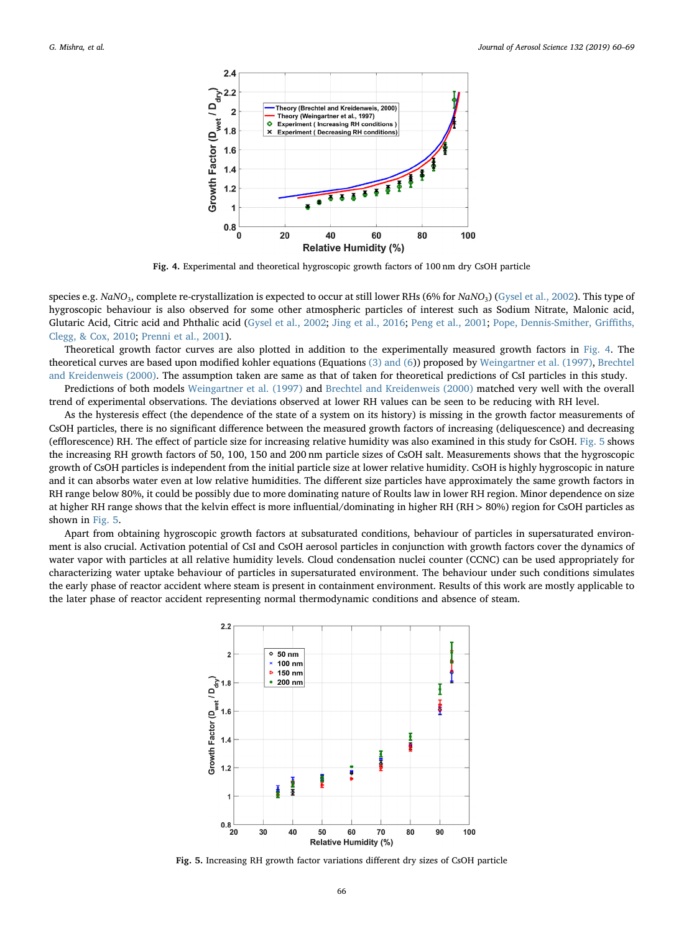<span id="page-6-0"></span>

Fig. 4. Experimental and theoretical hygroscopic growth factors of 100 nm dry CsOH particle

species e.g. *NaNO*3, complete re-crystallization is expected to occur at still lower RHs (6% for *NaNO*3) ([Gysel et al., 2002](#page-7-6)). This type of hygroscopic behaviour is also observed for some other atmospheric particles of interest such as Sodium Nitrate, Malonic acid, Glutaric Acid, Citric acid and Phthalic acid [\(Gysel et al., 2002;](#page-7-6) [Jing et al., 2016;](#page-8-29) [Peng et al., 2001;](#page-8-10) [Pope, Dennis-Smither, Gri](#page-8-30)ffiths, [Clegg, & Cox, 2010;](#page-8-30) [Prenni et al., 2001](#page-8-31)).

Theoretical growth factor curves are also plotted in addition to the experimentally measured growth factors in [Fig. 4](#page-6-0). The theoretical curves are based upon modified kohler equations (Equations [\(3\) and \(6\)](#page-3-3)) proposed by [Weingartner et al. \(1997\),](#page-9-17) [Brechtel](#page-7-13) [and Kreidenweis \(2000\)](#page-7-13). The assumption taken are same as that of taken for theoretical predictions of CsI particles in this study.

Predictions of both models [Weingartner et al. \(1997\)](#page-9-17) and [Brechtel and Kreidenweis \(2000\)](#page-7-13) matched very well with the overall trend of experimental observations. The deviations observed at lower RH values can be seen to be reducing with RH level.

As the hysteresis effect (the dependence of the state of a system on its history) is missing in the growth factor measurements of CsOH particles, there is no significant difference between the measured growth factors of increasing (deliquescence) and decreasing (efflorescence) RH. The effect of particle size for increasing relative humidity was also examined in this study for CsOH. [Fig. 5](#page-6-1) shows the increasing RH growth factors of 50, 100, 150 and 200 nm particle sizes of CsOH salt. Measurements shows that the hygroscopic growth of CsOH particles is independent from the initial particle size at lower relative humidity. CsOH is highly hygroscopic in nature and it can absorbs water even at low relative humidities. The different size particles have approximately the same growth factors in RH range below 80%, it could be possibly due to more dominating nature of Roults law in lower RH region. Minor dependence on size at higher RH range shows that the kelvin effect is more influential/dominating in higher RH (RH > 80%) region for CsOH particles as shown in [Fig. 5](#page-6-1).

<span id="page-6-1"></span>Apart from obtaining hygroscopic growth factors at subsaturated conditions, behaviour of particles in supersaturated environment is also crucial. Activation potential of CsI and CsOH aerosol particles in conjunction with growth factors cover the dynamics of water vapor with particles at all relative humidity levels. Cloud condensation nuclei counter (CCNC) can be used appropriately for characterizing water uptake behaviour of particles in supersaturated environment. The behaviour under such conditions simulates the early phase of reactor accident where steam is present in containment environment. Results of this work are mostly applicable to the later phase of reactor accident representing normal thermodynamic conditions and absence of steam.



Fig. 5. Increasing RH growth factor variations different dry sizes of CsOH particle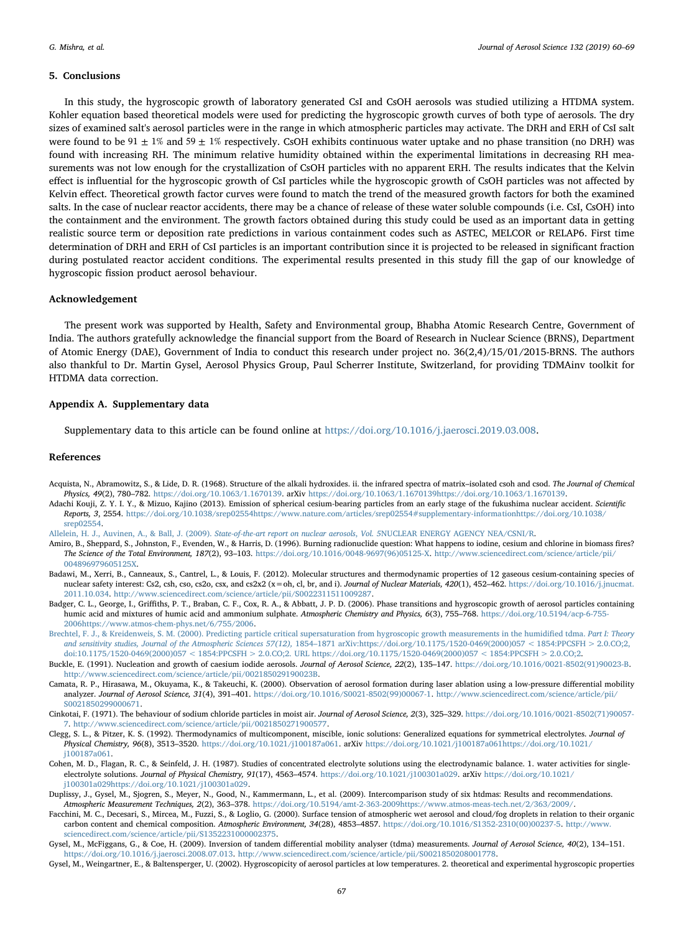## 5. Conclusions

In this study, the hygroscopic growth of laboratory generated CsI and CsOH aerosols was studied utilizing a HTDMA system. Kohler equation based theoretical models were used for predicting the hygroscopic growth curves of both type of aerosols. The dry sizes of examined salt's aerosol particles were in the range in which atmospheric particles may activate. The DRH and ERH of CsI salt were found to be 91  $\pm$  1% and 59  $\pm$  1% respectively. CsOH exhibits continuous water uptake and no phase transition (no DRH) was found with increasing RH. The minimum relative humidity obtained within the experimental limitations in decreasing RH measurements was not low enough for the crystallization of CsOH particles with no apparent ERH. The results indicates that the Kelvin effect is influential for the hygroscopic growth of CsI particles while the hygroscopic growth of CsOH particles was not affected by Kelvin effect. Theoretical growth factor curves were found to match the trend of the measured growth factors for both the examined salts. In the case of nuclear reactor accidents, there may be a chance of release of these water soluble compounds (i.e. CsI, CsOH) into the containment and the environment. The growth factors obtained during this study could be used as an important data in getting realistic source term or deposition rate predictions in various containment codes such as ASTEC, MELCOR or RELAP6. First time determination of DRH and ERH of CsI particles is an important contribution since it is projected to be released in significant fraction during postulated reactor accident conditions. The experimental results presented in this study fill the gap of our knowledge of hygroscopic fission product aerosol behaviour.

#### Acknowledgement

The present work was supported by Health, Safety and Environmental group, Bhabha Atomic Research Centre, Government of India. The authors gratefully acknowledge the financial support from the Board of Research in Nuclear Science (BRNS), Department of Atomic Energy (DAE), Government of India to conduct this research under project no. 36(2,4)/15/01/2015-BRNS. The authors also thankful to Dr. Martin Gysel, Aerosol Physics Group, Paul Scherrer Institute, Switzerland, for providing TDMAinv toolkit for HTDMA data correction.

#### Appendix A. Supplementary data

Supplementary data to this article can be found online at <https://doi.org/10.1016/j.jaerosci.2019.03.008>.

#### References

- <span id="page-7-7"></span>Acquista, N., Abramowitz, S., & Lide, D. R. (1968). Structure of the alkali hydroxides. ii. the infrared spectra of matrix-isolated csoh and csod. The Journal of Chemical Physics, 49(2), 780–782. https://doi.org/10.1063/1.1670139. arXiv [https://doi.org/10.1063/1.1670139https://doi.org/10.1063/1.1670139](https://doi.org/10.1063/1.1670139).
- <span id="page-7-3"></span>Adachi Kouji, Z. Y. I. Y., & Mizuo, Kajino (2013). Emission of spherical cesium-bearing particles from an early stage of the fukushima nuclear accident. Scientific Reports, 3, 2554. [https://doi.org/10.1038/srep02554https://www.nature.com/articles/srep02554#supplementary-informationhttps://doi.org/10.1038/](https://doi.org/10.1038/srep02554) [srep02554.](https://doi.org/10.1038/srep02554)

<span id="page-7-2"></span>[Allelein, H. J., Auvinen, A., & Ball, J. \(2009\).](http://refhub.elsevier.com/S0021-8502(18)30179-4/sref3) State-of-the-art report on nuclear aerosols, Vol. 5NUCLEAR ENERGY AGENCY NEA/CSNI/R.

- <span id="page-7-0"></span>Amiro, B., Sheppard, S., Johnston, F., Evenden, W., & Harris, D. (1996). Burning radionuclide question: What happens to iodine, cesium and chlorine in biomass fires? The Science of the Total Environment, 187(2), 93-103. [https://doi.org/10.1016/0048-9697\(96\)05125-X](https://doi.org/10.1016/0048-9697(96)05125-X). [http://www.sciencedirect.com/science/article/pii/](http://www.sciencedirect.com/science/article/pii/004896979605125X) [004896979605125X.](http://www.sciencedirect.com/science/article/pii/004896979605125X)
- <span id="page-7-8"></span>Badawi, M., Xerri, B., Canneaux, S., Cantrel, L., & Louis, F. (2012). Molecular structures and thermodynamic properties of 12 gaseous cesium-containing species of nuclear safety interest: Cs2, csh, cso, cs2o, csx, and cs2x2 (x = oh, cl, br, and i). Journal of Nuclear Materials, 420(1), 452-462. [https://doi.org/10.1016/j.jnucmat.](https://doi.org/10.1016/j.jnucmat.2011.10.034) [2011.10.034.](https://doi.org/10.1016/j.jnucmat.2011.10.034) <http://www.sciencedirect.com/science/article/pii/S0022311511009287>.
- <span id="page-7-5"></span>Badger, C. L., George, I., Griffiths, P. T., Braban, C. F., Cox, R. A., & Abbatt, J. P. D. (2006). Phase transitions and hygroscopic growth of aerosol particles containing humic acid and mixtures of humic acid and ammonium sulphate. Atmospheric Chemistry and Physics, 6(3), 755–768. [https://doi.org/10.5194/acp-6-755-](https://doi.org/10.5194/acp-6-755-2006) [2006https://www.atmos-chem-phys.net/6/755/2006](https://doi.org/10.5194/acp-6-755-2006).
- <span id="page-7-13"></span>[Brechtel, F. J., & Kreidenweis, S. M. \(2000\). Predicting particle critical supersaturation from hygroscopic growth measurements in the humidi](http://refhub.elsevier.com/S0021-8502(18)30179-4/sref7)fied tdma. Part I: Theory and sensitivity studies, Journal of the Atmospheric Sciences 57(12), 1854–[1871 arXiv:https://doi.org/10.1175/1520-0469\(2000\)057 < 1854:PPCSFH > 2.0.CO;2,](http://refhub.elsevier.com/S0021-8502(18)30179-4/sref7) [doi:10.1175/1520-0469\(2000\)057 < 1854:PPCSFH > 2.0.CO;2. URL https://doi.org/10.1175/1520-0469\(2000\)057 < 1854:PPCSFH > 2.0.CO;2.](http://refhub.elsevier.com/S0021-8502(18)30179-4/sref7)
- <span id="page-7-1"></span>Buckle, E. (1991). Nucleation and growth of caesium iodide aerosols. Journal of Aerosol Science, 22(2), 135-147. [https://doi.org/10.1016/0021-8502\(91\)90023-B.](https://doi.org/10.1016/0021-8502(91)90023-B) <http://www.sciencedirect.com/science/article/pii/002185029190023B>.
- <span id="page-7-9"></span>Camata, R. P., Hirasawa, M., Okuyama, K., & Takeuchi, K. (2000). Observation of aerosol formation during laser ablation using a low-pressure differential mobility analyzer. Journal of Aerosol Science, 31(4), 391–401. [https://doi.org/10.1016/S0021-8502\(99\)00067-1.](https://doi.org/10.1016/S0021-8502(99)00067-1) [http://www.sciencedirect.com/science/article/pii/](http://www.sciencedirect.com/science/article/pii/S0021850299000671) [S0021850299000671.](http://www.sciencedirect.com/science/article/pii/S0021850299000671)
- <span id="page-7-15"></span>Cinkotai, F. (1971). The behaviour of sodium chloride particles in moist air. Journal of Aerosol Science, 2(3), 325–329. [https://doi.org/10.1016/0021-8502\(71\)90057-](https://doi.org/10.1016/0021-8502(71)90057-7) [7.](https://doi.org/10.1016/0021-8502(71)90057-7) <http://www.sciencedirect.com/science/article/pii/0021850271900577>.
- <span id="page-7-14"></span>Clegg, S. L., & Pitzer, K. S. (1992). Thermodynamics of multicomponent, miscible, ionic solutions: Generalized equations for symmetrical electrolytes. Journal of Physical Chemistry, 96(8), 3513–3520. https://doi.org/10.1021/j100187a061. arXiv [https://doi.org/10.1021/j100187a061https://doi.org/10.1021/](https://doi.org/10.1021/j100187a061) [j100187a061](https://doi.org/10.1021/j100187a061).
- <span id="page-7-4"></span>Cohen, M. D., Flagan, R. C., & Seinfeld, J. H. (1987). Studies of concentrated electrolyte solutions using the electrodynamic balance. 1. water activities for singleelectrolyte solutions. Journal of Physical Chemistry, 91(17), 4563-4574. [https://doi.org/10.1021/j100301a029. arXiv](https://doi.org/10.1021/j100301a029) https://doi.org/10.1021/ [j100301a029https://doi.org/10.1021/j100301a029.](https://doi.org/10.1021/j100301a029)
- <span id="page-7-11"></span>Duplissy, J., Gysel, M., Sjogren, S., Meyer, N., Good, N., Kammermann, L., et al. (2009). Intercomparison study of six htdmas: Results and recommendations. Atmospheric Measurement Techniques, 2(2), 363–378. [https://doi.org/10.5194/amt-2-363-2009https://www.atmos-meas-tech.net/2/363/2009/.](https://doi.org/10.5194/amt-2-363-2009)
- <span id="page-7-12"></span>Facchini, M. C., Decesari, S., Mircea, M., Fuzzi, S., & Loglio, G. (2000). Surface tension of atmospheric wet aerosol and cloud/fog droplets in relation to their organic carbon content and chemical composition. Atmospheric Environment, 34(28), 4853-4857. [https://doi.org/10.1016/S1352-2310\(00\)00237-5.](https://doi.org/10.1016/S1352-2310(00)00237-5) [http://www.](http://www.sciencedirect.com/science/article/pii/S1352231000002375) [sciencedirect.com/science/article/pii/S1352231000002375.](http://www.sciencedirect.com/science/article/pii/S1352231000002375)
- <span id="page-7-10"></span>Gysel, M., McFiggans, G., & Coe, H. (2009). Inversion of tandem differential mobility analyser (tdma) measurements. Journal of Aerosol Science, 40(2), 134–151. [https://doi.org/10.1016/j.jaerosci.2008.07.013.](https://doi.org/10.1016/j.jaerosci.2008.07.013) [http://www.sciencedirect.com/science/article/pii/S0021850208001778.](http://www.sciencedirect.com/science/article/pii/S0021850208001778)
- <span id="page-7-6"></span>Gysel, M., Weingartner, E., & Baltensperger, U. (2002). Hygroscopicity of aerosol particles at low temperatures. 2. theoretical and experimental hygroscopic properties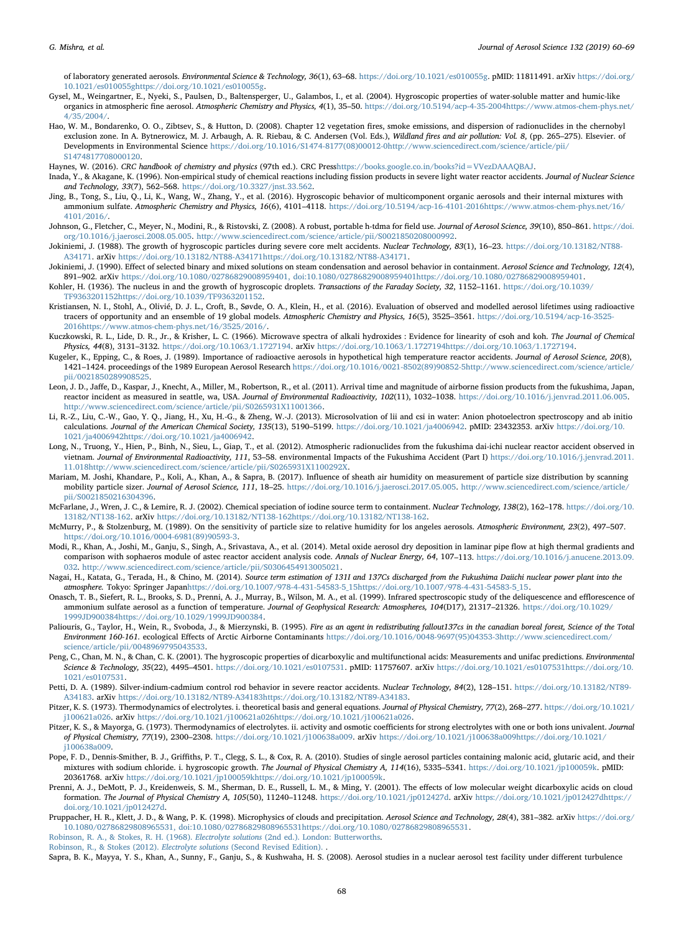of laboratory generated aerosols. Environmental Science & Technology, 36(1), 63–68. [https://doi.org/10.1021/es010055g. pMID: 11811491. arXiv](https://doi.org/10.1021/es010055g) https://doi.org/ [10.1021/es010055ghttps://doi.org/10.1021/es010055g](https://doi.org/10.1021/es010055g).

- <span id="page-8-19"></span>Gysel, M., Weingartner, E., Nyeki, S., Paulsen, D., Baltensperger, U., Galambos, I., et al. (2004). Hygroscopic properties of water-soluble matter and humic-like organics in atmospheric fine aerosol. Atmospheric Chemistry and Physics, 4(1), 35–50. [https://doi.org/10.5194/acp-4-35-2004https://www.atmos-chem-phys.net/](https://doi.org/10.5194/acp-4-35-2004) [4/35/2004/](https://www.atmos-chem-phys.net/4/35/2004/).
- <span id="page-8-6"></span>Hao, W. M., Bondarenko, O. O., Zibtsev, S., & Hutton, D. (2008). Chapter 12 vegetation fires, smoke emissions, and dispersion of radionuclides in the chernobyl exclusion zone. In A. Bytnerowicz, M. J. Arbaugh, A. R. Riebau, & C. Andersen (Vol. Eds.), Wildland fires and air pollution: Vol. 8, (pp. 265-275). Elsevier. of Developments in Environmental Science [https://doi.org/10.1016/S1474-8177\(08\)00012-0](https://doi.org/10.1016/S1474-8177(08)00012-0)[http://www.sciencedirect.com/science/article/pii/](http://www.sciencedirect.com/science/article/pii/S1474817708000120) [S1474817708000120.](http://www.sciencedirect.com/science/article/pii/S1474817708000120)
- <span id="page-8-28"></span>Haynes, W. (2016). CRC handbook of chemistry and physics (97th ed.). CRC Pres[shttps://books.google.co.in/books?id=VVezDAAAQBAJ.](https://books.google.co.in/books?id=VVezDAAAQBAJ)
- <span id="page-8-13"></span>Inada, Y., & Akagane, K. (1996). Non-empirical study of chemical reactions including fission products in severe light water reactor accidents. Journal of Nuclear Science and Technology, 33(7), 562–568. [https://doi.org/10.3327/jnst.33.562.](https://doi.org/10.3327/jnst.33.562)
- <span id="page-8-29"></span>Jing, B., Tong, S., Liu, Q., Li, K., Wang, W., Zhang, Y., et al. (2016). Hygroscopic behavior of multicomponent organic aerosols and their internal mixtures with ammonium sulfate. Atmospheric Chemistry and Physics, 16(6), 4101–4118. [https://doi.org/10.5194/acp-16-4101-2016https://www.atmos-chem-phys.net/16/](https://doi.org/10.5194/acp-16-4101-2016) [4101/2016/.](https://www.atmos-chem-phys.net/16/4101/2016/)
- <span id="page-8-20"></span>Johnson, G., Fletcher, C., Meyer, N., Modini, R., & Ristovski, Z. (2008). A robust, portable h-tdma for field use. Journal of Aerosol Science, 39(10), 850-861. [https://doi.](https://doi.org/10.1016/j.jaerosci.2008.05.005) [org/10.1016/j.jaerosci.2008.05.005.](https://doi.org/10.1016/j.jaerosci.2008.05.005) <http://www.sciencedirect.com/science/article/pii/S0021850208000992>.
- <span id="page-8-4"></span>Jokiniemi, J. (1988). The growth of hygroscopic particles during severe core melt accidents. Nuclear Technology, 83(1), 16–23. [https://doi.org/10.13182/NT88-](https://doi.org/10.13182/NT88-A34171) A34171. arXiv [https://doi.org/10.13182/NT88-A34171https://doi.org/10.13182/NT88-A34171.](https://doi.org/10.13182/NT88-A34171)
- <span id="page-8-9"></span>Jokiniemi, J. (1990). Effect of selected binary and mixed solutions on steam condensation and aerosol behavior in containment. Aerosol Science and Technology, 12(4), 891–902. arXiv [https://doi.org/10.1080/02786829008959401, doi:10.1080/02786829008959401](https://doi.org/10.1080/02786829008959401,%20doi:10.1080/02786829008959401)[https://doi.org/10.1080/02786829008959401.](https://doi.org/10.1080/02786829008959401)

<span id="page-8-22"></span>Kohler, H. (1936). The nucleus in and the growth of hygroscopic droplets. Transactions of the Faraday Society, 32, 1152–1161. [https://doi.org/10.1039/](https://doi.org/10.1039/TF9363201152) [TF9363201152https://doi.org/10.1039/TF9363201152](https://doi.org/10.1039/TF9363201152).

- <span id="page-8-0"></span>Kristiansen, N. I., Stohl, A., Olivié, D. J. L., Croft, B., Søvde, O. A., Klein, H., et al. (2016). Evaluation of observed and modelled aerosol lifetimes using radioactive tracers of opportunity and an ensemble of 19 global models. Atmospheric Chemistry and Physics, 16(5), 3525-3561. [https://doi.org/10.5194/acp-16-3525-](https://doi.org/10.5194/acp-16-3525-2016) [2016https://www.atmos-chem-phys.net/16/3525/2016/](https://doi.org/10.5194/acp-16-3525-2016).
- <span id="page-8-14"></span>Kuczkowski, R. L., Lide, D. R., Jr., & Krisher, L. C. (1966). Microwave spectra of alkali hydroxides : Evidence for linearity of csoh and koh. The Journal of Chemical Physics, 44(8), 3131–3132. https://doi.org/10.1063/1.1727194. arXiv [https://doi.org/10.1063/1.1727194https://doi.org/10.1063/1.1727194](https://doi.org/10.1063/1.1727194).
- <span id="page-8-2"></span>Kugeler, K., Epping, C., & Roes, J. (1989). Importance of radioactive aerosols in hypothetical high temperature reactor accidents. Journal of Aerosol Science, 20(8), 1421–1424. proceedings of the 1989 European Aerosol Research [https://doi.org/10.1016/0021-8502\(89\)90852-5](https://doi.org/10.1016/0021-8502(89)90852-5)[http://www.sciencedirect.com/science/article/](http://www.sciencedirect.com/science/article/pii/0021850289908525) [pii/0021850289908525.](http://www.sciencedirect.com/science/article/pii/0021850289908525)
- <span id="page-8-5"></span>Leon, J. D., Jaffe, D., Kaspar, J., Knecht, A., Miller, M., Robertson, R., et al. (2011). Arrival time and magnitude of airborne fission products from the fukushima, Japan, reactor incident as measured in seattle, wa, USA. Journal of Environmental Radioactivity, 102(11), 1032-1038. [https://doi.org/10.1016/j.jenvrad.2011.06.005.](https://doi.org/10.1016/j.jenvrad.2011.06.005) [http://www.sciencedirect.com/science/article/pii/S0265931X11001366.](http://www.sciencedirect.com/science/article/pii/S0265931X11001366)
- <span id="page-8-15"></span>Li, R.-Z., Liu, C.-W., Gao, Y. Q., Jiang, H., Xu, H.-G., & Zheng, W.-J. (2013). Microsolvation of lii and csi in water: Anion photoelectron spectroscopy and ab initio calculations. Journal of the American Chemical Society, 135(13), 5190–5199. [https://doi.org/10.1021/ja4006942. pMID: 23432353. arXiv](https://doi.org/10.1021/ja4006942) https://doi.org/10. [1021/ja4006942https://doi.org/10.1021/ja4006942.](https://doi.org/10.1021/ja4006942)
- <span id="page-8-7"></span>Long, N., Truong, Y., Hien, P., Binh, N., Sieu, L., Giap, T., et al. (2012). Atmospheric radionuclides from the fukushima dai-ichi nuclear reactor accident observed in vietnam. Journal of Environmental Radioactivity, 111, 53-58. environmental Impacts of the Fukushima Accident (Part I) [https://doi.org/10.1016/j.jenvrad.2011.](https://doi.org/10.1016/j.jenvrad.2011.11.018) [11.018](https://doi.org/10.1016/j.jenvrad.2011.11.018)[http://www.sciencedirect.com/science/article/pii/S0265931X1100292X.](http://www.sciencedirect.com/science/article/pii/S0265931X1100292X)
- <span id="page-8-21"></span>Mariam, M. Joshi, Khandare, P., Koli, A., Khan, A., & Sapra, B. (2017). Influence of sheath air humidity on measurement of particle size distribution by scanning mobility particle sizer. Journal of Aerosol Science, 111, 18-25. <https://doi.org/10.1016/j.jaerosci.2017.05.005>. [http://www.sciencedirect.com/science/article/](http://www.sciencedirect.com/science/article/pii/S0021850216304396) [pii/S0021850216304396](http://www.sciencedirect.com/science/article/pii/S0021850216304396).
- <span id="page-8-16"></span>McFarlane, J., Wren, J. C., & Lemire, R. J. (2002). Chemical speciation of iodine source term to containment. Nuclear Technology, 138(2), 162–178. [https://doi.org/10.](https://doi.org/10.13182/NT138-162) 13182/NT138-162. arXiv [https://doi.org/10.13182/NT138-162https://doi.org/10.13182/NT138-162.](https://doi.org/10.13182/NT138-162)
- <span id="page-8-11"></span>McMurry, P., & Stolzenburg, M. (1989). On the sensitivity of particle size to relative humidity for los angeles aerosols. Atmospheric Environment, 23(2), 497–507. [https://doi.org/10.1016/0004-6981\(89\)90593-3](https://doi.org/10.1016/0004-6981(89)90593-3).
- <span id="page-8-17"></span>Modi, R., Khan, A., Joshi, M., Ganju, S., Singh, A., Srivastava, A., et al. (2014). Metal oxide aerosol dry deposition in laminar pipe flow at high thermal gradients and comparison with sophaeros module of astec reactor accident analysis code. Annals of Nuclear Energy, 64, 107-113. [https://doi.org/10.1016/j.anucene.2013.09.](https://doi.org/10.1016/j.anucene.2013.09.032) [032.](https://doi.org/10.1016/j.anucene.2013.09.032) [http://www.sciencedirect.com/science/article/pii/S0306454913005021.](http://www.sciencedirect.com/science/article/pii/S0306454913005021)
- <span id="page-8-8"></span>Nagai, H., Katata, G., Terada, H., & Chino, M. (2014). Source term estimation of 131I and 137Cs discharged from the Fukushima Daiichi nuclear power plant into the atmosphere. Tokyo: Springer Japa[nhttps://doi.org/10.1007/978-4-431-54583-5\\_15https://doi.org/10.1007/978-4-431-54583-5\\_15](https://doi.org/10.1007/978-4-431-54583-5_15).
- <span id="page-8-12"></span>Onasch, T. B., Siefert, R. L., Brooks, S. D., Prenni, A. J., Murray, B., Wilson, M. A., et al. (1999). Infrared spectroscopic study of the deliquescence and efflorescence of ammonium sulfate aerosol as a function of temperature. Journal of Geophysical Research: Atmospheres, 104(D17), 21317–21326. [https://doi.org/10.1029/](https://doi.org/10.1029/1999JD900384) [1999JD900384https://doi.org/10.1029/1999JD900384.](https://doi.org/10.1029/1999JD900384)
- <span id="page-8-1"></span>Paliouris, G., Taylor, H., Wein, R., Svoboda, J., & Mierzynski, B. (1995). Fire as an agent in redistributing fallout137cs in the canadian boreal forest, Science of the Total Environment 160-161. ecological Effects of Arctic Airborne Contaminants [https://doi.org/10.1016/0048-9697\(95\)04353-3](https://doi.org/10.1016/0048-9697(95)04353-3)[http://www.sciencedirect.com/](http://www.sciencedirect.com/science/article/pii/0048969795043533) [science/article/pii/0048969795043533](http://www.sciencedirect.com/science/article/pii/0048969795043533).
- <span id="page-8-10"></span>Peng, C., Chan, M. N., & Chan, C. K. (2001). The hygroscopic properties of dicarboxylic and multifunctional acids: Measurements and unifac predictions. Environmental Science & Technology, 35(22), 4495-4501. [https://doi.org/10.1021/es0107531. pMID: 11757607. arXiv](https://doi.org/10.1021/es0107531) https://doi.org/10.1021/es0107531https://doi.org/10. [1021/es0107531](https://doi.org/10.1021/es0107531).
- <span id="page-8-3"></span>Petti, D. A. (1989). Silver-indium-cadmium control rod behavior in severe reactor accidents. Nuclear Technology, 84(2), 128-151. [https://doi.org/10.13182/NT89-](https://doi.org/10.13182/NT89-A34183) A34183. arXiv [https://doi.org/10.13182/NT89-A34183https://doi.org/10.13182/NT89-A34183.](https://doi.org/10.13182/NT89-A34183)
- <span id="page-8-26"></span>Pitzer, K. S. (1973). Thermodynamics of electrolytes. i. theoretical basis and general equations. Journal of Physical Chemistry, 77(2), 268-277. [https://doi.org/10.1021/](https://doi.org/10.1021/j100621a026) j100621a026. arXiv [https://doi.org/10.1021/j100621a026https://doi.org/10.1021/j100621a026.](https://doi.org/10.1021/j100621a026)
- <span id="page-8-27"></span>Pitzer, K. S., & Mayorga, G. (1973). Thermodynamics of electrolytes. ii. activity and osmotic coefficients for strong electrolytes with one or both ions univalent. Journal of Physical Chemistry, 77(19), 2300–2308. https://doi.org/10.1021/j100638a009. arXiv [https://doi.org/10.1021/j100638a009https://doi.org/10.1021/](https://doi.org/10.1021/j100638a009) [j100638a009](https://doi.org/10.1021/j100638a009).
- <span id="page-8-30"></span>Pope, F. D., Dennis-Smither, B. J., Griffiths, P. T., Clegg, S. L., & Cox, R. A. (2010). Studies of single aerosol particles containing malonic acid, glutaric acid, and their mixtures with sodium chloride. i. hygroscopic growth. The Journal of Physical Chemistry A, 114(16), 5335-5341. [https://doi.org/10.1021/jp100059k. pMID:](https://doi.org/10.1021/jp100059k) 20361768. arXiv [https://doi.org/10.1021/jp100059khttps://doi.org/10.1021/jp100059k](https://doi.org/10.1021/jp100059k).
- <span id="page-8-31"></span>Prenni, A. J., DeMott, P. J., Kreidenweis, S. M., Sherman, D. E., Russell, L. M., & Ming, Y. (2001). The effects of low molecular weight dicarboxylic acids on cloud formation. The Journal of Physical Chemistry A, 105(50), 11240–11248. https://doi.org/10.1021/jp012427d. arXiv [https://doi.org/10.1021/jp012427dhttps://](https://doi.org/10.1021/jp012427d) [doi.org/10.1021/jp012427d](https://doi.org/10.1021/jp012427d).
- <span id="page-8-23"></span>Pruppacher, H. R., Klett, J. D., & Wang, P. K. (1998). Microphysics of clouds and precipitation. Aerosol Science and Technology, 28(4), 381-382. arXiv [https://doi.org/](https://doi.org/10.1080/02786829808965531,%20doi:10.1080/02786829808965531) [10.1080/02786829808965531, doi:10.1080/02786829808965531](https://doi.org/10.1080/02786829808965531,%20doi:10.1080/02786829808965531)<https://doi.org/10.1080/02786829808965531>.

<span id="page-8-24"></span>[Robinson, R. A., & Stokes, R. H. \(1968\).](http://refhub.elsevier.com/S0021-8502(18)30179-4/sref66) Electrolyte solutions (2nd ed.). London: Butterworths.

<span id="page-8-25"></span>[Robinson, R., & Stokes \(2012\).](http://refhub.elsevier.com/S0021-8502(18)30179-4/sref46) Electrolyte solutions (Second Revised Edition). .

<span id="page-8-18"></span>Sapra, B. K., Mayya, Y. S., Khan, A., Sunny, F., Ganju, S., & Kushwaha, H. S. (2008). Aerosol studies in a nuclear aerosol test facility under different turbulence